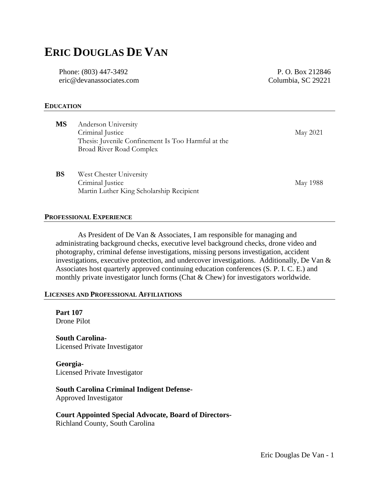# **ERIC DOUGLAS DE VAN**

Phone: (803) 447-3492 eric@devanassociates.com

P. O. Box 212846 Columbia, SC 29221

#### **EDUCATION**

| <b>MS</b> | Anderson University<br>Criminal Justice<br>Thesis: Juvenile Confinement Is Too Harmful at the<br>Broad River Road Complex | May 2021 |
|-----------|---------------------------------------------------------------------------------------------------------------------------|----------|
| <b>BS</b> | West Chester University<br>Criminal Justice<br>Martin Luther King Scholarship Recipient                                   | May 1988 |

#### **PROFESSIONAL EXPERIENCE**

As President of De Van & Associates, I am responsible for managing and administrating background checks, executive level background checks, drone video and photography, criminal defense investigations, missing persons investigation, accident investigations, executive protection, and undercover investigations. Additionally, De Van & Associates host quarterly approved continuing education conferences (S. P. I. C. E.) and monthly private investigator lunch forms (Chat & Chew) for investigators worldwide.

#### **LICENSES AND PROFESSIONAL AFFILIATIONS**

**Part 107** Drone Pilot

**South Carolina-**Licensed Private Investigator

**Georgia-**Licensed Private Investigator

#### **South Carolina Criminal Indigent Defense-**

Approved Investigator

**Court Appointed Special Advocate, Board of Directors-**

Richland County, South Carolina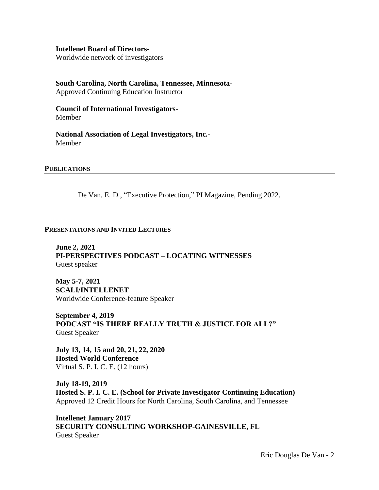#### **Intellenet Board of Directors-**

Worldwide network of investigators

# **South Carolina, North Carolina, Tennessee, Minnesota-**

Approved Continuing Education Instructor

**Council of International Investigators-**Member

**National Association of Legal Investigators, Inc.-** Member

#### **PUBLICATIONS**

De Van, E. D., "Executive Protection," PI Magazine, Pending 2022.

#### **PRESENTATIONS AND INVITED LECTURES**

**June 2, 2021 PI-PERSPECTIVES PODCAST – LOCATING WITNESSES**  Guest speaker

**May 5-7, 2021 SCALI/INTELLENET** Worldwide Conference-feature Speaker

**September 4, 2019 PODCAST "IS THERE REALLY TRUTH & JUSTICE FOR ALL?"** Guest Speaker

**July 13, 14, 15 and 20, 21, 22, 2020 Hosted World Conference** Virtual S. P. I. C. E. (12 hours)

**July 18-19, 2019 Hosted S. P. I. C. E. (School for Private Investigator Continuing Education)**  Approved 12 Credit Hours for North Carolina, South Carolina, and Tennessee

**Intellenet January 2017 SECURITY CONSULTING WORKSHOP-GAINESVILLE, FL** Guest Speaker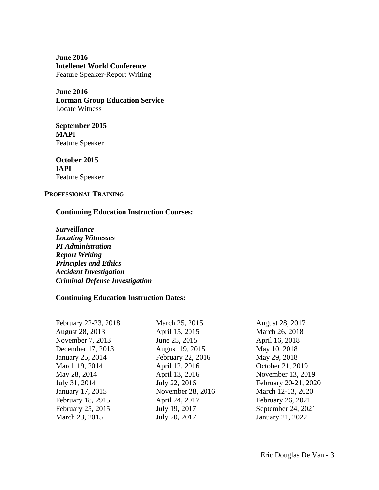**June 2016 Intellenet World Conference**  Feature Speaker-Report Writing

**June 2016 Lorman Group Education Service**  Locate Witness

**September 2015 MAPI** Feature Speaker

**October 2015 IAPI** Feature Speaker

#### **PROFESSIONAL TRAINING**

### **Continuing Education Instruction Courses:**

*Surveillance Locating Witnesses PI Administration Report Writing Principles and Ethics Accident Investigation Criminal Defense Investigation*

## **Continuing Education Instruction Dates:**

| February 22-23, 2018 | March 25, 2015    | August 28, 2017      |
|----------------------|-------------------|----------------------|
| August 28, 2013      | April 15, 2015    | March 26, 2018       |
| November 7, 2013     | June 25, 2015     | April 16, 2018       |
| December 17, 2013    | August 19, 2015   | May 10, 2018         |
| January 25, 2014     | February 22, 2016 | May 29, 2018         |
| March 19, 2014       | April 12, 2016    | October 21, 2019     |
| May 28, 2014         | April 13, 2016    | November 13, 2019    |
| July 31, 2014        | July 22, 2016     | February 20-21, 2020 |
| January 17, 2015     | November 28, 2016 | March 12-13, 2020    |
| February 18, 2915    | April 24, 2017    | February 26, 2021    |
| February 25, 2015    | July 19, 2017     | September 24, 2021   |
| March 23, 2015       | July 20, 2017     | January 21, 2022     |
|                      |                   |                      |